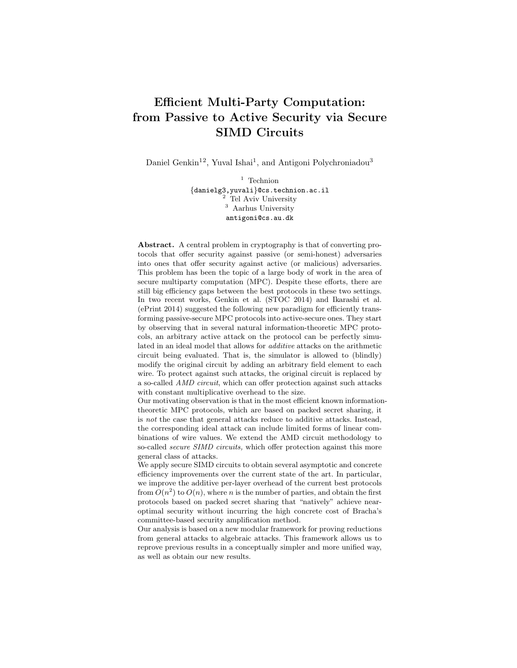# Efficient Multi-Party Computation: from Passive to Active Security via Secure SIMD Circuits

Daniel Genkin<sup>12</sup>, Yuval Ishai<sup>1</sup>, and Antigoni Polychroniadou<sup>3</sup>

 $^{\rm 1}$  Technion {danielg3,yuvali}@cs.technion.ac.il <sup>2</sup> Tel Aviv University <sup>3</sup> Aarhus University antigoni@cs.au.dk

Abstract. A central problem in cryptography is that of converting protocols that offer security against passive (or semi-honest) adversaries into ones that offer security against active (or malicious) adversaries. This problem has been the topic of a large body of work in the area of secure multiparty computation (MPC). Despite these efforts, there are still big efficiency gaps between the best protocols in these two settings. In two recent works, Genkin et al. (STOC 2014) and Ikarashi et al. (ePrint 2014) suggested the following new paradigm for efficiently transforming passive-secure MPC protocols into active-secure ones. They start by observing that in several natural information-theoretic MPC protocols, an arbitrary active attack on the protocol can be perfectly simulated in an ideal model that allows for additive attacks on the arithmetic circuit being evaluated. That is, the simulator is allowed to (blindly) modify the original circuit by adding an arbitrary field element to each wire. To protect against such attacks, the original circuit is replaced by a so-called AMD circuit, which can offer protection against such attacks with constant multiplicative overhead to the size.

Our motivating observation is that in the most efficient known informationtheoretic MPC protocols, which are based on packed secret sharing, it is not the case that general attacks reduce to additive attacks. Instead, the corresponding ideal attack can include limited forms of linear combinations of wire values. We extend the AMD circuit methodology to so-called *secure SIMD circuits*, which offer protection against this more general class of attacks.

We apply secure SIMD circuits to obtain several asymptotic and concrete efficiency improvements over the current state of the art. In particular, we improve the additive per-layer overhead of the current best protocols from  $O(n^2)$  to  $O(n)$ , where n is the number of parties, and obtain the first protocols based on packed secret sharing that "natively" achieve nearoptimal security without incurring the high concrete cost of Bracha's committee-based security amplification method.

Our analysis is based on a new modular framework for proving reductions from general attacks to algebraic attacks. This framework allows us to reprove previous results in a conceptually simpler and more unified way, as well as obtain our new results.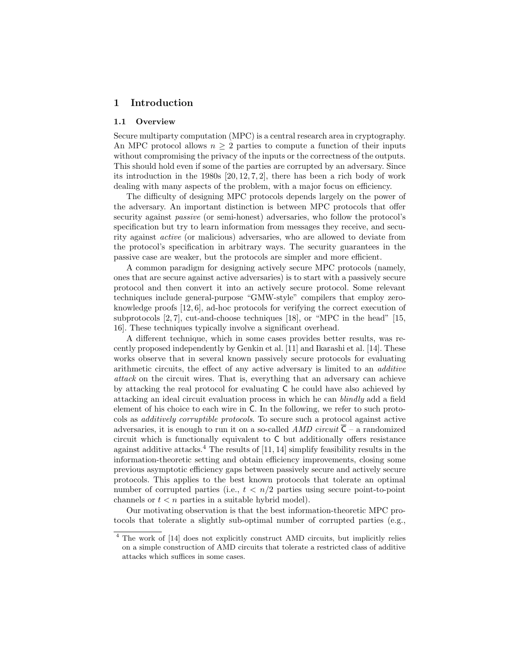#### 1 Introduction

#### 1.1 Overview

Secure multiparty computation (MPC) is a central research area in cryptography. An MPC protocol allows  $n \geq 2$  parties to compute a function of their inputs without compromising the privacy of the inputs or the correctness of the outputs. This should hold even if some of the parties are corrupted by an adversary. Since its introduction in the 1980s [20, 12, 7, 2], there has been a rich body of work dealing with many aspects of the problem, with a major focus on efficiency.

The difficulty of designing MPC protocols depends largely on the power of the adversary. An important distinction is between MPC protocols that offer security against *passive* (or semi-honest) adversaries, who follow the protocol's specification but try to learn information from messages they receive, and security against active (or malicious) adversaries, who are allowed to deviate from the protocol's specification in arbitrary ways. The security guarantees in the passive case are weaker, but the protocols are simpler and more efficient.

A common paradigm for designing actively secure MPC protocols (namely, ones that are secure against active adversaries) is to start with a passively secure protocol and then convert it into an actively secure protocol. Some relevant techniques include general-purpose "GMW-style" compilers that employ zeroknowledge proofs [12, 6], ad-hoc protocols for verifying the correct execution of subprotocols [2, 7], cut-and-choose techniques [18], or "MPC in the head" [15, 16]. These techniques typically involve a significant overhead.

A different technique, which in some cases provides better results, was recently proposed independently by Genkin et al. [11] and Ikarashi et al. [14]. These works observe that in several known passively secure protocols for evaluating arithmetic circuits, the effect of any active adversary is limited to an additive attack on the circuit wires. That is, everything that an adversary can achieve by attacking the real protocol for evaluating C he could have also achieved by attacking an ideal circuit evaluation process in which he can blindly add a field element of his choice to each wire in C. In the following, we refer to such protocols as additively corruptible protocols. To secure such a protocol against active adversaries, it is enough to run it on a so-called AMD circuit  $\overline{C}$  – a randomized circuit which is functionally equivalent to C but additionally offers resistance against additive attacks.<sup>4</sup> The results of  $[11, 14]$  simplify feasibility results in the information-theoretic setting and obtain efficiency improvements, closing some previous asymptotic efficiency gaps between passively secure and actively secure protocols. This applies to the best known protocols that tolerate an optimal number of corrupted parties (i.e.,  $t < n/2$  parties using secure point-to-point channels or  $t < n$  parties in a suitable hybrid model).

Our motivating observation is that the best information-theoretic MPC protocols that tolerate a slightly sub-optimal number of corrupted parties (e.g.,

<sup>4</sup> The work of [14] does not explicitly construct AMD circuits, but implicitly relies on a simple construction of AMD circuits that tolerate a restricted class of additive attacks which suffices in some cases.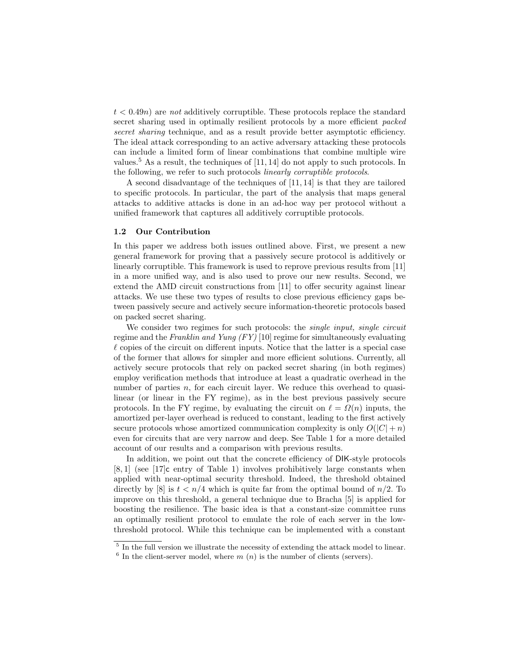$t < 0.49n$ ) are not additively corruptible. These protocols replace the standard secret sharing used in optimally resilient protocols by a more efficient packed secret sharing technique, and as a result provide better asymptotic efficiency. The ideal attack corresponding to an active adversary attacking these protocols can include a limited form of linear combinations that combine multiple wire values.<sup>5</sup> As a result, the techniques of [11, 14] do not apply to such protocols. In the following, we refer to such protocols linearly corruptible protocols.

A second disadvantage of the techniques of [11, 14] is that they are tailored to specific protocols. In particular, the part of the analysis that maps general attacks to additive attacks is done in an ad-hoc way per protocol without a unified framework that captures all additively corruptible protocols.

#### 1.2 Our Contribution

In this paper we address both issues outlined above. First, we present a new general framework for proving that a passively secure protocol is additively or linearly corruptible. This framework is used to reprove previous results from [11] in a more unified way, and is also used to prove our new results. Second, we extend the AMD circuit constructions from [11] to offer security against linear attacks. We use these two types of results to close previous efficiency gaps between passively secure and actively secure information-theoretic protocols based on packed secret sharing.

We consider two regimes for such protocols: the *single input, single circuit* regime and the Franklin and Yung (FY) [10] regime for simultaneously evaluating  $\ell$  copies of the circuit on different inputs. Notice that the latter is a special case of the former that allows for simpler and more efficient solutions. Currently, all actively secure protocols that rely on packed secret sharing (in both regimes) employ verification methods that introduce at least a quadratic overhead in the number of parties n, for each circuit layer. We reduce this overhead to quasilinear (or linear in the FY regime), as in the best previous passively secure protocols. In the FY regime, by evaluating the circuit on  $\ell = \Omega(n)$  inputs, the amortized per-layer overhead is reduced to constant, leading to the first actively secure protocols whose amortized communication complexity is only  $O(|C| + n)$ even for circuits that are very narrow and deep. See Table 1 for a more detailed account of our results and a comparison with previous results.

In addition, we point out that the concrete efficiency of DIK-style protocols [8, 1] (see [17]c entry of Table 1) involves prohibitively large constants when applied with near-optimal security threshold. Indeed, the threshold obtained directly by [8] is  $t < n/4$  which is quite far from the optimal bound of  $n/2$ . To improve on this threshold, a general technique due to Bracha [5] is applied for boosting the resilience. The basic idea is that a constant-size committee runs an optimally resilient protocol to emulate the role of each server in the lowthreshold protocol. While this technique can be implemented with a constant

<sup>&</sup>lt;sup>5</sup> In the full version we illustrate the necessity of extending the attack model to linear.  $6$  In the client-server model, where  $m(n)$  is the number of clients (servers).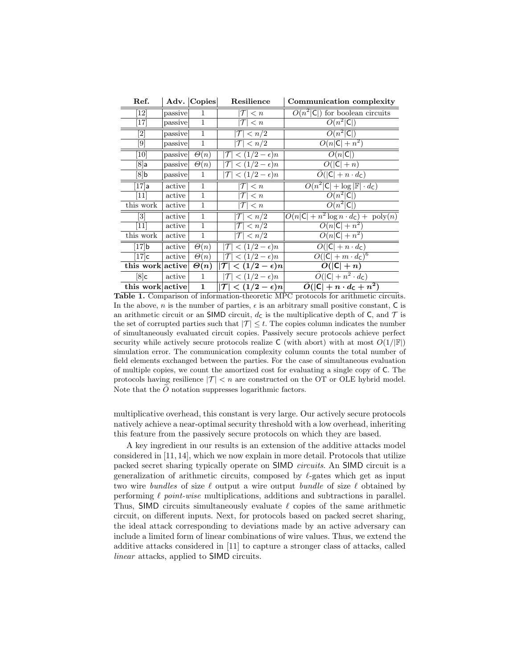|                                                                                     | Ref.                           |         | Adv. Copies  | Resilience                                   | Communication complexity                                              |
|-------------------------------------------------------------------------------------|--------------------------------|---------|--------------|----------------------------------------------|-----------------------------------------------------------------------|
|                                                                                     | $\left\lceil 12\right\rceil$   | passive | 1            | $\langle n$                                  | $O(n^2 \mathsf{C} )$ for boolean circuits                             |
|                                                                                     | [17]                           | passive | 1            | $\leq n$                                     | $O(n^2 C )$                                                           |
|                                                                                     |                                | passive | $\mathbf{1}$ | $\frac{}{n/2}$<br>$\tau$ l                   | $O(n^2 C )$                                                           |
|                                                                                     | [9]                            | passive | $\mathbf{1}$ | $ \mathcal{T}  < n/2$                        | $O(n \mathsf{C} +n^2)$                                                |
|                                                                                     | $\left[10\right]$              | passive | $\Theta(n)$  | $\frac{1}{2}$ (1/2 – $\epsilon$ )n           | $O(n \mathsf{C} )$                                                    |
|                                                                                     | $[8]$ a                        | passive | $\Theta(n)$  | $\lt (1/2 - \epsilon)n$                      | $\overline{O( \mathsf{C} +n)}$                                        |
|                                                                                     | $[8]$ b                        | passive | 1            | $\lt (1/2 - \epsilon)n$                      | $\widetilde{O}( \mathsf{C}  + n \cdot d_{\mathsf{C}})$                |
|                                                                                     | $\left\lceil 17\right\rceil$ a | active  | $\mathbf{1}$ | $\tau$<br>$\langle n \rangle$                | $O(n^2 \mathsf{C}  + \log  \mathbb{F}  \cdot d_{\mathsf{C}})$         |
|                                                                                     | $\left[11\right]$              | active  | $\mathbf{1}$ | $\langle n$                                  | $O(n^2 C )$                                                           |
|                                                                                     | this work                      | active  | $\mathbf{1}$ | $\leq n$                                     | $O(n^2 C )$                                                           |
|                                                                                     | $\left\lceil 3 \right\rceil$   | active  | $\mathbf{1}$ | $\langle n/\overline{2} \rangle$<br>$\tau$ l | $O(n \mathsf{C}  + n^2 \log n \cdot d_{\mathsf{C}}) + \text{poly}(n)$ |
|                                                                                     | $[11]$                         | active  | $\mathbf{1}$ | $\frac{1}{2}$<br>$\tau$                      | $O(n \mathsf{C} +n^2)$                                                |
|                                                                                     | this work                      | active  | 1            | $ \mathcal{T}  < n/2$                        | $O(n C  + n^2)$                                                       |
|                                                                                     | [17]b                          | active  | $\Theta(n)$  | $\sqrt{(1/2-\epsilon)n}$                     | $O( C  + n \cdot d_C)$                                                |
|                                                                                     | $[17]$ c                       | active  | $\Theta(n)$  | $\langle (1/2 - \epsilon)n \rangle$          | $O( C  + m \cdot d_{\mathsf{C}})^6$                                   |
|                                                                                     | this work active               |         | $\Theta(n)$  | $< (1/2 - \epsilon)n$<br>$ \mathcal{T} $     | $O( C +n)$                                                            |
|                                                                                     | $[8]$ c                        | active  | $\mathbf{1}$ | $< (1/2 - \epsilon)n$<br>$ \mathcal{T} $     | $\overline{\tilde{O}( \mathsf{C}  + n^2} \cdot d_{\mathsf{C}})$       |
|                                                                                     | this work active               |         |              | $ \mathcal{T}  < (1/2-\epsilon)n $           | $\tilde{O}( C  + n \cdot d_C + n^2)$                                  |
| Table 1. Comparison of information-theoretic MPC protocols for arithmetic circuits. |                                |         |              |                                              |                                                                       |

In the above, n is the number of parties,  $\epsilon$  is an arbitrary small positive constant, C is an arithmetic circuit or an SIMD circuit,  $d<sub>C</sub>$  is the multiplicative depth of C, and T is the set of corrupted parties such that  $|\mathcal{T}| \leq t$ . The copies column indicates the number of simultaneously evaluated circuit copies. Passively secure protocols achieve perfect security while actively secure protocols realize C (with abort) with at most  $O(1/|\mathbb{F}|)$ simulation error. The communication complexity column counts the total number of field elements exchanged between the parties. For the case of simultaneous evaluation of multiple copies, we count the amortized cost for evaluating a single copy of C. The protocols having resilience  $|\mathcal{T}| < n$  are constructed on the OT or OLE hybrid model. Note that the  $\ddot{O}$  notation suppresses logarithmic factors.

multiplicative overhead, this constant is very large. Our actively secure protocols natively achieve a near-optimal security threshold with a low overhead, inheriting this feature from the passively secure protocols on which they are based.

A key ingredient in our results is an extension of the additive attacks model considered in [11, 14], which we now explain in more detail. Protocols that utilize packed secret sharing typically operate on SIMD circuits. An SIMD circuit is a generalization of arithmetic circuits, composed by  $\ell$ -gates which get as input two wire bundles of size  $\ell$  output a wire output bundle of size  $\ell$  obtained by performing  $\ell$  point-wise multiplications, additions and subtractions in parallel. Thus, SIMD circuits simultaneously evaluate  $\ell$  copies of the same arithmetic circuit, on different inputs. Next, for protocols based on packed secret sharing, the ideal attack corresponding to deviations made by an active adversary can include a limited form of linear combinations of wire values. Thus, we extend the additive attacks considered in [11] to capture a stronger class of attacks, called linear attacks, applied to SIMD circuits.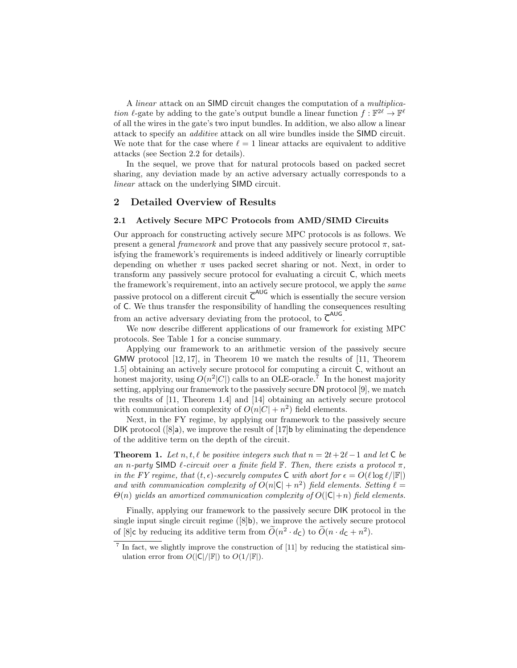A linear attack on an SIMD circuit changes the computation of a multiplication  $\ell$ -gate by adding to the gate's output bundle a linear function  $f : \mathbb{F}^{2\ell} \to \mathbb{F}^{\ell}$ of all the wires in the gate's two input bundles. In addition, we also allow a linear attack to specify an additive attack on all wire bundles inside the SIMD circuit. We note that for the case where  $\ell = 1$  linear attacks are equivalent to additive attacks (see Section 2.2 for details).

In the sequel, we prove that for natural protocols based on packed secret sharing, any deviation made by an active adversary actually corresponds to a linear attack on the underlying SIMD circuit.

#### 2 Detailed Overview of Results

#### 2.1 Actively Secure MPC Protocols from AMD/SIMD Circuits

Our approach for constructing actively secure MPC protocols is as follows. We present a general framework and prove that any passively secure protocol  $\pi$ , satisfying the framework's requirements is indeed additively or linearly corruptible depending on whether  $\pi$  uses packed secret sharing or not. Next, in order to transform any passively secure protocol for evaluating a circuit C, which meets the framework's requirement, into an actively secure protocol, we apply the *same* passive protocol on a different circuit  $\overline{C}^{AUG}$  which is essentially the secure version of C. We thus transfer the responsibility of handling the consequences resulting from an active adversary deviating from the protocol, to  $\overline{C}^{AUG}$ .

We now describe different applications of our framework for existing MPC protocols. See Table 1 for a concise summary.

Applying our framework to an arithmetic version of the passively secure GMW protocol [12, 17], in Theorem 10 we match the results of [11, Theorem 1.5] obtaining an actively secure protocol for computing a circuit C, without an honest majority, using  $O(n^2|C|)$  calls to an OLE-oracle.<sup>7</sup> In the honest majority setting, applying our framework to the passively secure DN protocol [9], we match the results of [11, Theorem 1.4] and [14] obtaining an actively secure protocol with communication complexity of  $O(n|C| + n^2)$  field elements.

Next, in the FY regime, by applying our framework to the passively secure DIK protocol ( $[8]a$ ), we improve the result of  $[17]b$  by eliminating the dependence of the additive term on the depth of the circuit.

**Theorem 1.** Let n, t,  $\ell$  be positive integers such that  $n = 2t + 2\ell - 1$  and let C be an n-party SIMD  $\ell$ -circuit over a finite field F. Then, there exists a protocol  $\pi$ , in the FY regime, that  $(t, \epsilon)$ -securely computes C with abort for  $\epsilon = O(\ell \log \ell/|\mathbb{F}|)$ and with communication complexity of  $O(n|\mathsf{C}|+n^2)$  field elements. Setting  $\ell =$  $\Theta(n)$  yields an amortized communication complexity of  $O(|\mathsf{C}|+n)$  field elements.

Finally, applying our framework to the passively secure DIK protocol in the single input single circuit regime  $(\delta|\mathbf{b})$ , we improve the actively secure protocol of [8]c by reducing its additive term from  $\tilde{O}(n^2 \cdot d_c)$  to  $\tilde{O}(n \cdot d_c + n^2)$ .

 $<sup>7</sup>$  In fact, we slightly improve the construction of [11] by reducing the statistical sim-</sup> ulation error from  $O(|\mathsf{C}|/|\mathbb{F}|)$  to  $O(1/|\mathbb{F}|)$ .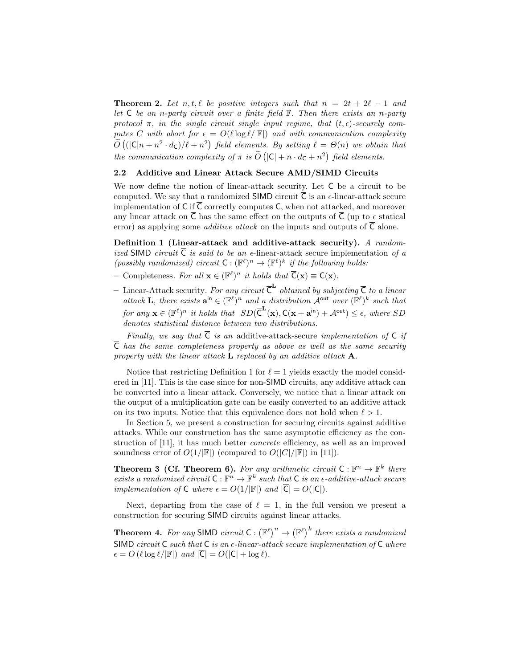**Theorem 2.** Let n, t,  $\ell$  be positive integers such that  $n = 2t + 2\ell - 1$  and let  $C$  be an n-party circuit over a finite field  $\mathbb F$ . Then there exists an n-party protocol  $\pi$ , in the single circuit single input regime, that  $(t, \epsilon)$ -securely computes C with abort for  $\epsilon = O(\ell \log \ell / |\mathbb{F}|)$  and with communication complexity  $\widetilde{O}((|\mathsf{C}|n + n^2 \cdot d_{\mathsf{C}})/\ell + n^2)$  field elements. By setting  $\ell = \Theta(n)$  we obtain that the communication complexity of  $\pi$  is  $\widetilde{O}(|C| + n \cdot d_C + n^2)$  field elements.

#### 2.2 Additive and Linear Attack Secure AMD/SIMD Circuits

We now define the notion of linear-attack security. Let C be a circuit to be computed. We say that a randomized **SIMD** circuit  $\overline{C}$  is an  $\epsilon$ -linear-attack secure implementation of C if  $\overline{C}$  correctly computes C, when not attacked, and moreover any linear attack on  $\overline{C}$  has the same effect on the outputs of  $\overline{C}$  (up to  $\epsilon$  statical error) as applying some *additive attack* on the inputs and outputs of  $\overline{C}$  alone.

Definition 1 (Linear-attack and additive-attack security). A randomized SIMD circuit  $\overline{C}$  is said to be an e-linear-attack secure implementation of a (possibly randomized) circuit  $C: (\mathbb{F}^{\ell})^n \to (\mathbb{F}^{\ell})^k$  if the following holds:

- Completeness. For all **x** ∈ ( $\mathbb{F}^{\ell}$ )<sup>n</sup> it holds that  $\overline{C}(\mathbf{x}) \equiv C(\mathbf{x})$ .
- Linear-Attack security. For any circuit  $\overline{\mathsf{C}}^{\mathbf{L}}$  obtained by subjecting  $\overline{\mathsf{C}}$  to a linear attack **L**, there exists  $\mathbf{a}^{\text{in}} \in (\mathbb{F}^{\ell})^n$  and a distribution  $\mathcal{A}^{\text{out}}$  over  $(\mathbb{F}^{\ell})^k$  such that for any  $\mathbf{x} \in (\mathbb{F}^{\ell})^n$  it holds that  $SD(\overline{C}^{\mathbf{L}}(\mathbf{x}), C(\mathbf{x} + \mathbf{a}^{\text{in}}) + \mathcal{A}^{\text{out}}) \le \epsilon$ , where SD denotes statistical distance between two distributions.

Finally, we say that  $\overline{C}$  is an additive-attack-secure implementation of C if  $\overline{C}$  has the same completeness property as above as well as the same security property with the linear attack  $L$  replaced by an additive attack  $A$ .

Notice that restricting Definition 1 for  $\ell = 1$  yields exactly the model considered in [11]. This is the case since for non-SIMD circuits, any additive attack can be converted into a linear attack. Conversely, we notice that a linear attack on the output of a multiplication gate can be easily converted to an additive attack on its two inputs. Notice that this equivalence does not hold when  $\ell > 1$ .

In Section 5, we present a construction for securing circuits against additive attacks. While our construction has the same asymptotic efficiency as the construction of [11], it has much better concrete efficiency, as well as an improved soundness error of  $O(1/|\mathbb{F}|)$  (compared to  $O(|C|/|\mathbb{F}|)$  in [11]).

**Theorem 3 (Cf. Theorem 6).** For any arithmetic circuit  $C : \mathbb{F}^n \to \mathbb{F}^k$  there exists a randomized circuit  $\overline{C}: \mathbb{F}^n \to \mathbb{F}^k$  such that  $\overline{C}$  is an  $\epsilon$ -additive-attack secure implementation of  $C$  where  $\epsilon = O(1/|\mathbb{F}|)$  and  $|\overline{C}| = O(|C|)$ .

Next, departing from the case of  $\ell = 1$ , in the full version we present a construction for securing SIMD circuits against linear attacks.

**Theorem 4.** For any SIMD circuit  $C : (\mathbb{F}^{\ell})^n \to (\mathbb{F}^{\ell})^k$  there exists a randomized SIMD circuit  $\overline{C}$  such that  $\overline{C}$  is an  $\epsilon$ -linear-attack secure implementation of  $C$  where  $\epsilon = O\left(\ell \log \ell/|\mathbb{F}|\right)$  and  $|\overline{C}| = O(|C| + \log \ell).$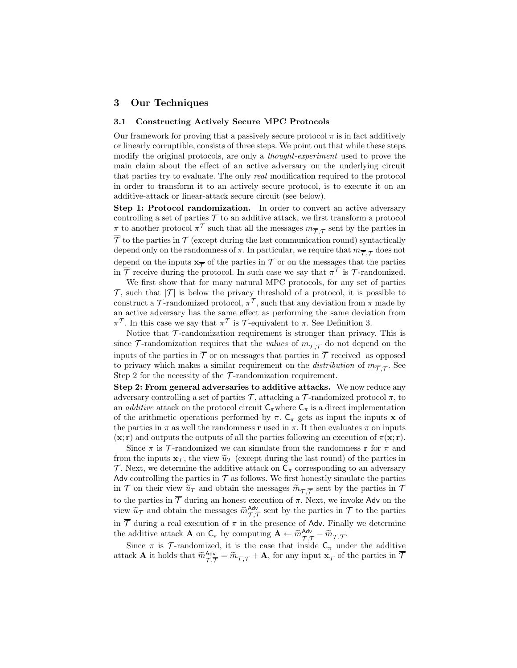#### 3 Our Techniques

#### 3.1 Constructing Actively Secure MPC Protocols

Our framework for proving that a passively secure protocol  $\pi$  is in fact additively or linearly corruptible, consists of three steps. We point out that while these steps modify the original protocols, are only a *thought-experiment* used to prove the main claim about the effect of an active adversary on the underlying circuit that parties try to evaluate. The only real modification required to the protocol in order to transform it to an actively secure protocol, is to execute it on an additive-attack or linear-attack secure circuit (see below).

Step 1: Protocol randomization. In order to convert an active adversary controlling a set of parties  $\mathcal T$  to an additive attack, we first transform a protocol  $\pi$  to another protocol  $\pi^{\mathcal{T}}$  such that all the messages  $m_{\overline{\mathcal{T}}, \mathcal{T}}$  sent by the parties in  $\overline{\mathcal{T}}$  to the parties in  $\mathcal{T}$  (except during the last communication round) syntactically depend only on the randomness of  $\pi$ . In particular, we require that  $m_{\overline{\mathcal{T}},\mathcal{T}}$  does not depend on the inputs  $\mathbf{x}_{\overline{\mathcal{T}}}$  of the parties in  $\mathcal T$  or on the messages that the parties in  $\overline{\mathcal{T}}$  receive during the protocol. In such case we say that  $\pi^{\mathcal{T}}$  is  $\mathcal{T}$ -randomized.

We first show that for many natural MPC protocols, for any set of parties  $\mathcal{T}$ , such that  $|\mathcal{T}|$  is below the privacy threshold of a protocol, it is possible to construct a T-randomized protocol,  $\pi^{\mathcal{T}}$ , such that any deviation from  $\pi$  made by an active adversary has the same effect as performing the same deviation from  $\pi^{\mathcal{T}}$ . In this case we say that  $\pi^{\mathcal{T}}$  is  $\mathcal{T}$ -equivalent to  $\pi$ . See Definition 3.

Notice that  $\mathcal T$ -randomization requirement is stronger than privacy. This is since  $\mathcal{T}$ -randomization requires that the *values* of  $m_{\overline{\mathcal{T}},\mathcal{T}}$  do not depend on the inputs of the parties in  $\overline{\mathcal{T}}$  or on messages that parties in  $\overline{\mathcal{T}}$  received as opposed to privacy which makes a similar requirement on the *distribution* of  $m_{\overline{\mathcal{T}},\mathcal{T}}$ . See Step 2 for the necessity of the  $\mathcal T$ -randomization requirement.

Step 2: From general adversaries to additive attacks. We now reduce any adversary controlling a set of parties  $\mathcal T$ , attacking a  $\mathcal T$ -randomized protocol  $\pi$ , to an *additive* attack on the protocol circuit  $C_{\pi}$  where  $C_{\pi}$  is a direct implementation of the arithmetic operations performed by  $\pi$ .  $C_{\pi}$  gets as input the inputs **x** of the parties in  $\pi$  as well the randomness r used in  $\pi$ . It then evaluates  $\pi$  on inputs  $(\mathbf{x}; \mathbf{r})$  and outputs the outputs of all the parties following an execution of  $\pi(\mathbf{x}; \mathbf{r})$ .

Since  $\pi$  is  $\mathcal T$ -randomized we can simulate from the randomness **r** for  $\pi$  and from the inputs  $x_{\mathcal{T}}$ , the view  $\tilde{u}_{\mathcal{T}}$  (except during the last round) of the parties in T. Next, we determine the additive attack on  $C_{\pi}$  corresponding to an adversary Adv controlling the parties in  $\mathcal T$  as follows. We first honestly simulate the parties in  $\mathcal T$  on their view  $\tilde u_T$  and obtain the messages  $\tilde m_{\mathcal T,\overline{\mathcal T}}$  sent by the parties in  $\mathcal T$ to the parties in  $\overline{\mathcal{T}}$  during an honest execution of  $\pi$ . Next, we invoke Adv on the view  $\widetilde{u}_{\mathcal{T}}$  and obtain the messages  $\widetilde{m}_{\mathcal{T},\overline{\mathcal{T}}}^{\mathsf{Adv}}$  sent by the parties in  $\mathcal{T}$  to the parties in  $\overline{\mathcal{T}}$  during a real execution of  $\pi$  in the presence of Adv. Finally we determine the additive attack **A** on  $C_{\pi}$  by computing  $\mathbf{A} \leftarrow \widetilde{m}_{\mathcal{T}, \overline{\mathcal{T}}}^{\mathsf{Adv}} - \widetilde{m}_{\mathcal{T}, \overline{\mathcal{T}}}$ .

Since  $\pi$  is  $\mathcal{T}$ -randomized, it is the case that inside  $C_{\pi}$  under the additive attack **A** it holds that  $\widetilde{m}_{\mathcal{T},\overline{\mathcal{T}}}^{\mathbf{Adv}} = \widetilde{m}_{\mathcal{T},\overline{\mathcal{T}}} + \mathbf{A}$ , for any input  $\mathbf{x}_{\overline{\mathcal{T}}}$  of the parties in  $\overline{\mathcal{T}}$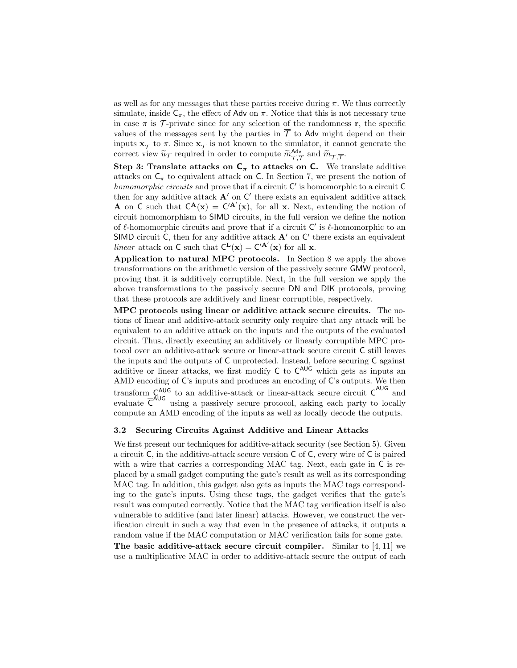as well as for any messages that these parties receive during  $\pi$ . We thus correctly simulate, inside  $C_{\pi}$ , the effect of Adv on  $\pi$ . Notice that this is not necessary true in case  $\pi$  is  $\mathcal T$ -private since for any selection of the randomness **r**, the specific values of the messages sent by the parties in  $\overline{\mathcal{T}}$  to Adv might depend on their inputs  $\mathbf{x}_{\overline{\mathcal{T}}}$  to  $\pi$ . Since  $\mathbf{x}_{\overline{\mathcal{T}}}$  is not known to the simulator, it cannot generate the correct view  $\widetilde{u}_{\mathcal{T}}$  required in order to compute  $\widetilde{m}_{\mathcal{T},\overline{\mathcal{T}}}^{\mathsf{Adv}}$  and  $\widetilde{m}_{\mathcal{T},\overline{\mathcal{T}}}$ .

Step 3: Translate attacks on  $C_{\pi}$  to attacks on C. We translate additive attacks on  $C_{\pi}$  to equivalent attack on C. In Section 7, we present the notion of homomorphic circuits and prove that if a circuit  $C'$  is homomorphic to a circuit  $C$ then for any additive attack  $A'$  on  $C'$  there exists an equivalent additive attack **A** on C such that  $C^{\mathbf{A}}(\mathbf{x}) = C'^{\mathbf{A}'}(\mathbf{x})$ , for all **x**. Next, extending the notion of circuit homomorphism to SIMD circuits, in the full version we define the notion of  $\ell$ -homomorphic circuits and prove that if a circuit  $C'$  is  $\ell$ -homomorphic to an SIMD circuit  $C$ , then for any additive attack  $A'$  on  $C'$  there exists an equivalent linear attack on C such that  $C^{\mathbf{L}}(\mathbf{x}) = C'^{\mathbf{A}'}(\mathbf{x})$  for all **x**.

Application to natural MPC protocols. In Section 8 we apply the above transformations on the arithmetic version of the passively secure GMW protocol, proving that it is additively corruptible. Next, in the full version we apply the above transformations to the passively secure DN and DIK protocols, proving that these protocols are additively and linear corruptible, respectively.

MPC protocols using linear or additive attack secure circuits. The notions of linear and additive-attack security only require that any attack will be equivalent to an additive attack on the inputs and the outputs of the evaluated circuit. Thus, directly executing an additively or linearly corruptible MPC protocol over an additive-attack secure or linear-attack secure circuit C still leaves the inputs and the outputs of C unprotected. Instead, before securing C against additive or linear attacks, we first modify C to C<sup>AUG</sup> which gets as inputs an AMD encoding of C's inputs and produces an encoding of C's outputs. We then transform  $\zeta_{\text{AG}}^{\text{AUG}}$  to an additive-attack or linear-attack secure circuit  $\bar{\zeta}^{\text{AUG}}$  and evaluate  $\overline{C}^{AUG}$  using a passively secure protocol, asking each party to locally compute an AMD encoding of the inputs as well as locally decode the outputs.

#### 3.2 Securing Circuits Against Additive and Linear Attacks

We first present our techniques for additive-attack security (see Section 5). Given a circuit C, in the additive-attack secure version  $\overline{C}$  of C, every wire of C is paired with a wire that carries a corresponding MAC tag. Next, each gate in  $\mathsf C$  is replaced by a small gadget computing the gate's result as well as its corresponding MAC tag. In addition, this gadget also gets as inputs the MAC tags corresponding to the gate's inputs. Using these tags, the gadget verifies that the gate's result was computed correctly. Notice that the MAC tag verification itself is also vulnerable to additive (and later linear) attacks. However, we construct the verification circuit in such a way that even in the presence of attacks, it outputs a random value if the MAC computation or MAC verification fails for some gate.

The basic additive-attack secure circuit compiler. Similar to  $[4, 11]$  we use a multiplicative MAC in order to additive-attack secure the output of each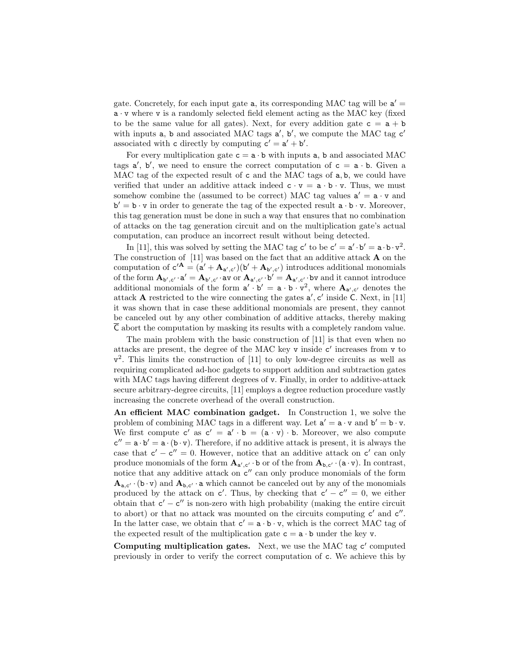gate. Concretely, for each input gate  $a$ , its corresponding MAC tag will be  $a' =$  $a \cdot v$  where v is a randomly selected field element acting as the MAC key (fixed to be the same value for all gates). Next, for every addition gate  $c = a + b$ with inputs  $a$ ,  $b$  and associated MAC tags  $a'$ ,  $b'$ , we compute the MAC tag  $c'$ associated with c directly by computing  $c' = a' + b'$ .

For every multiplication gate  $c = a \cdot b$  with inputs a, b and associated MAC tags  $a'$ ,  $b'$ , we need to ensure the correct computation of  $c = a \cdot b$ . Given a MAC tag of the expected result of c and the MAC tags of a, b, we could have verified that under an additive attack indeed  $c \cdot v = a \cdot b \cdot v$ . Thus, we must somehow combine the (assumed to be correct) MAC tag values  $a' = a \cdot v$  and  $b' = b \cdot v$  in order to generate the tag of the expected result  $a \cdot b \cdot v$ . Moreover, this tag generation must be done in such a way that ensures that no combination of attacks on the tag generation circuit and on the multiplication gate's actual computation, can produce an incorrect result without being detected.

In [11], this was solved by setting the MAC tag  $c'$  to be  $c' = a' \cdot b' = a \cdot b \cdot v^2$ . The construction of  $[11]$  was based on the fact that an additive attack **A** on the computation of  $c'^{\mathbf{A}} = (a' + \mathbf{A}_{a',c'}) (b' + \mathbf{A}_{b',c'})$  introduces additional monomials of the form  $\mathbf{A}_{\mathbf{b}',\mathbf{c}'}\cdot \mathbf{a}' = \mathbf{A}_{\mathbf{b}',\mathbf{c}'}\cdot \mathbf{a}\mathbf{v}$  or  $\mathbf{A}_{\mathbf{a}',\mathbf{c}'}\cdot \mathbf{b}' = \mathbf{A}_{\mathbf{a}',\mathbf{c}'}\cdot \mathbf{b}\mathbf{v}$  and it cannot introduce additional monomials of the form  $a' \cdot b' = a \cdot b \cdot v^2$ , where  $A_{a',c'}$  denotes the attack **A** restricted to the wire connecting the gates  $a'$ ,  $c'$  inside  $\overline{C}$ . Next, in [11] it was shown that in case these additional monomials are present, they cannot be canceled out by any other combination of additive attacks, thereby making C abort the computation by masking its results with a completely random value.

The main problem with the basic construction of [11] is that even when no attacks are present, the degree of the MAC key  $v$  inside  $c'$  increases from  $v$  to  $v^2$ . This limits the construction of [11] to only low-degree circuits as well as requiring complicated ad-hoc gadgets to support addition and subtraction gates with MAC tags having different degrees of v. Finally, in order to additive-attack secure arbitrary-degree circuits, [11] employs a degree reduction procedure vastly increasing the concrete overhead of the overall construction.

An efficient MAC combination gadget. In Construction 1, we solve the problem of combining MAC tags in a different way. Let  $a' = a \cdot v$  and  $b' = b \cdot v$ . We first compute  $c'$  as  $c' = a' \cdot b = (a \cdot v) \cdot b$ . Moreover, we also compute  $c'' = a \cdot b' = a \cdot (b \cdot v)$ . Therefore, if no additive attack is present, it is always the case that  $c' - c'' = 0$ . However, notice that an additive attack on  $c'$  can only produce monomials of the form  $\mathbf{A}_{a',c'} \cdot b$  or of the from  $\mathbf{A}_{b,c'} \cdot (a \cdot v)$ . In contrast, notice that any additive attack on  $c''$  can only produce monomials of the form  $\mathbf{A}_{a,c'} \cdot (b \cdot v)$  and  $\mathbf{A}_{b,c'} \cdot a$  which cannot be canceled out by any of the monomials produced by the attack on c'. Thus, by checking that  $c' - c'' = 0$ , we either obtain that  $c' - c''$  is non-zero with high probability (making the entire circuit to abort) or that no attack was mounted on the circuits computing  $c'$  and  $c''$ . In the latter case, we obtain that  $c' = a \cdot b \cdot v$ , which is the correct MAC tag of the expected result of the multiplication gate  $c = a \cdot b$  under the key v.

Computing multiplication gates. Next, we use the MAC tag  $c'$  computed previously in order to verify the correct computation of c. We achieve this by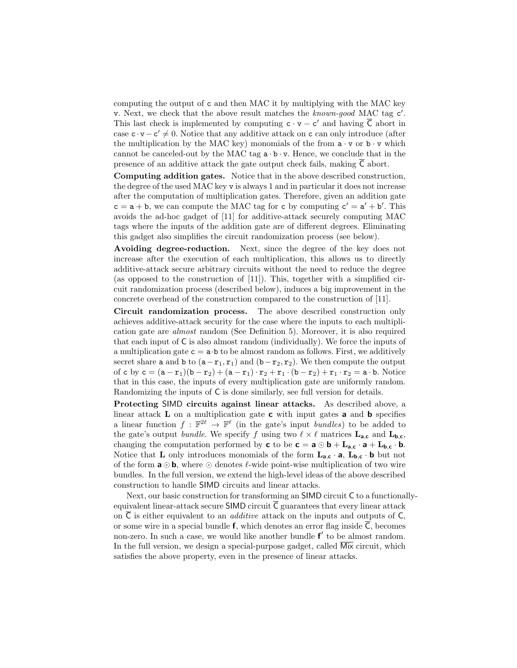computing the output of c and then MAC it by multiplying with the MAC key v. Next, we check that the above result matches the known-good MAC tag c'. This last check is implemented by computing  $c \cdot v - c'$  and having  $\overline{C}$  abort in case  $\mathbf{c} \cdot \mathbf{v} - \mathbf{c}' \neq 0$ . Notice that any additive attack on c can only introduce (after the multiplication by the MAC key) monomials of the from  $a \cdot v$  or  $b \cdot v$  which cannot be canceled-out by the MAC tag  $a \cdot b \cdot v$ . Hence, we conclude that in the presence of an additive attack the gate output check fails, making  $\overline{C}$  abort.

Computing addition gates. Notice that in the above described construction, the degree of the used MAC key v is always 1 and in particular it does not increase after the computation of multiplication gates. Therefore, given an addition gate  $c = a + b$ , we can compute the MAC tag for c by computing  $c' = a' + b'$ . This avoids the ad-hoc gadget of [11] for additive-attack securely computing MAC tags where the inputs of the addition gate are of different degrees. Eliminating this gadget also simplifies the circuit randomization process (see below).

Avoiding degree-reduction. Next, since the degree of the key does not increase after the execution of each multiplication, this allows us to directly additive-attack secure arbitrary circuits without the need to reduce the degree (as opposed to the construction of [11]). This, together with a simplified circuit randomization process (described below), induces a big improvement in the concrete overhead of the construction compared to the construction of [11].

Circuit randomization process. The above described construction only achieves additive-attack security for the case where the inputs to each multiplication gate are almost random (See Definition 5). Moreover, it is also required that each input of C is also almost random (individually). We force the inputs of a multiplication gate  $c = a \cdot b$  to be almost random as follows. First, we additively secret share a and b to  $(a-r_1, r_1)$  and  $(b-r_2, r_2)$ . We then compute the output of c by  $c = (a - r_1)(b - r_2) + (a - r_1) \cdot r_2 + r_1 \cdot (b - r_2) + r_1 \cdot r_2 = a \cdot b$ . Notice that in this case, the inputs of every multiplication gate are uniformly random. Randomizing the inputs of C is done similarly, see full version for details.

Protecting SIMD circuits against linear attacks. As described above, a linear attack  **on a multiplication gate**  $**c**$  **with input gates <b>a** and **b** specifies a linear function  $f : \mathbb{F}^{2\ell} \to \mathbb{F}^{\ell}$  (in the gate's input *bundles*) to be added to the gate's output *bundle*. We specify f using two  $\ell \times \ell$  matrices  $L_{a,c}$  and  $L_{b,c}$ , changing the computation performed by **c** to be **c** = **a**  $\odot$  **b** + **L**<sub>**a**,**c** · **a** + **L**<sub>**b**,**c** · **b**.</sub></sub> Notice that **L** only introduces monomials of the form  $L_{a,c} \cdot a$ ,  $L_{b,c} \cdot b$  but not of the form  $\mathbf{a} \odot \mathbf{b}$ , where  $\odot$  denotes  $\ell$ -wide point-wise multiplication of two wire bundles. In the full version, we extend the high-level ideas of the above described construction to handle SIMD circuits and linear attacks.

Next, our basic construction for transforming an SIMD circuit C to a functionallyequivalent linear-attack secure SIMD circuit  $\overline{C}$  guarantees that every linear attack on  $\overline{C}$  is either equivalent to an *additive* attack on the inputs and outputs of  $C$ , or some wire in a special bundle **f**, which denotes an error flag inside  $\overline{C}$ , becomes non-zero. In such a case, we would like another bundle  $f'$  to be almost random. In the full version, we design a special-purpose gadget, called  $\overline{\text{Mix}}$  circuit, which satisfies the above property, even in the presence of linear attacks.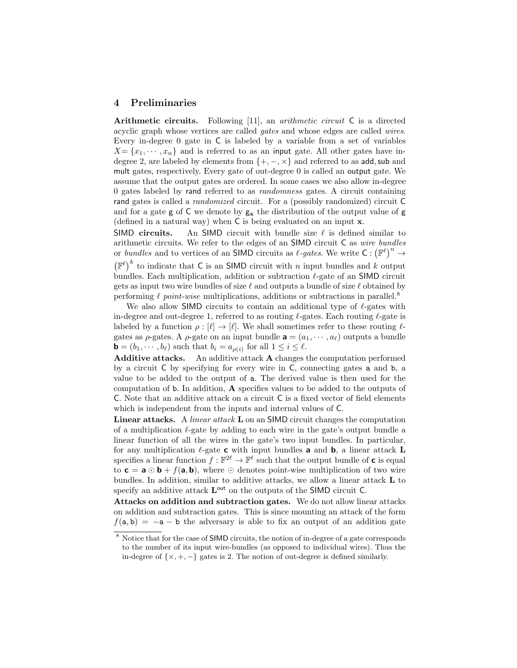### 4 Preliminaries

Arithmetic circuits. Following [11], an *arithmetic circuit* C is a directed acyclic graph whose vertices are called gates and whose edges are called wires. Every in-degree 0 gate in C is labeled by a variable from a set of variables  $X = \{x_1, \dots, x_n\}$  and is referred to as an input gate. All other gates have indegree 2, are labeled by elements from  $\{+,-, \times\}$  and referred to as add, sub and mult gates, respectively. Every gate of out-degree 0 is called an output gate. We assume that the output gates are ordered. In some cases we also allow in-degree 0 gates labeled by rand referred to as randomness gates. A circuit containing rand gates is called a randomized circuit. For a (possibly randomized) circuit C and for a gate  $g$  of  $C$  we denote by  $g_x$  the distribution of the output value of  $g$ (defined in a natural way) when C is being evaluated on an input x.

SIMD circuits. An SIMD circuit with bundle size  $\ell$  is defined similar to arithmetic circuits. We refer to the edges of an SIMD circuit C as wire bundles or bundles and to vertices of an SIMD circuits as  $\ell$ -gates. We write  $C : (\mathbb{F}^{\ell})^n \to$  $(\mathbb{F}^{\ell})^k$  to indicate that C is an SIMD circuit with n input bundles and k output bundles. Each multiplication, addition or subtraction  $\ell$ -gate of an SIMD circuit gets as input two wire bundles of size  $\ell$  and outputs a bundle of size  $\ell$  obtained by performing  $\ell$  point-wise multiplications, additions or subtractions in parallel.<sup>8</sup>

We also allow SIMD circuits to contain an additional type of  $\ell$ -gates with in-degree and out-degree 1, referred to as routing  $\ell$ -gates. Each routing  $\ell$ -gate is labeled by a function  $\rho : [\ell] \to [\ell]$ . We shall sometimes refer to these routing  $\ell$ gates as  $\rho$ -gates. A  $\rho$ -gate on an input bundle  $\mathbf{a} = (a_1, \dots, a_\ell)$  outputs a bundle  $\mathbf{b} = (b_1, \dots, b_\ell)$  such that  $b_i = a_{\rho(i)}$  for all  $1 \leq i \leq \ell$ .

Additive attacks. An additive attack A changes the computation performed by a circuit C by specifying for every wire in C, connecting gates a and b, a value to be added to the output of a. The derived value is then used for the computation of b. In addition, A specifies values to be added to the outputs of C. Note that an additive attack on a circuit C is a fixed vector of field elements which is independent from the inputs and internal values of C.

Linear attacks. A *linear attack* **L** on an SIMD circuit changes the computation of a multiplication  $\ell$ -gate by adding to each wire in the gate's output bundle a linear function of all the wires in the gate's two input bundles. In particular, for any multiplication  $\ell$ -gate **c** with input bundles **a** and **b**, a linear attack **L** specifies a linear function  $f : \mathbb{F}^{2\ell} \to \mathbb{F}^{\ell}$  such that the output bundle of **c** is equal to  $c = a \odot b + f(a, b)$ , where  $\odot$  denotes point-wise multiplication of two wire bundles. In addition, similar to additive attacks, we allow a linear attack L to specify an additive attack  $L^{\text{out}}$  on the outputs of the SIMD circuit C.

Attacks on addition and subtraction gates. We do not allow linear attacks on addition and subtraction gates. This is since mounting an attack of the form  $f(a, b) = -a - b$  the adversary is able to fix an output of an addition gate

<sup>8</sup> Notice that for the case of SIMD circuits, the notion of in-degree of a gate corresponds to the number of its input wire-bundles (as opposed to individual wires). Thus the in-degree of  $\{x, +, -\}$  gates is 2. The notion of out-degree is defined similarly.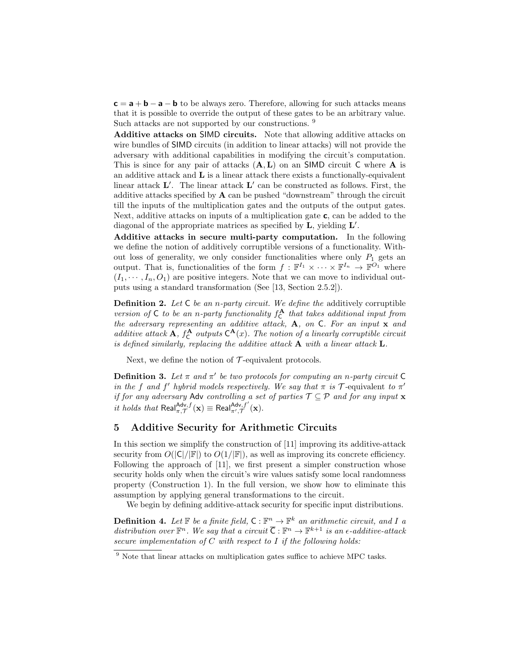$c = a + b - a - b$  to be always zero. Therefore, allowing for such attacks means that it is possible to override the output of these gates to be an arbitrary value. Such attacks are not supported by our constructions. <sup>9</sup>

Additive attacks on SIMD circuits. Note that allowing additive attacks on wire bundles of SIMD circuits (in addition to linear attacks) will not provide the adversary with additional capabilities in modifying the circuit's computation. This is since for any pair of attacks  $(A, L)$  on an SIMD circuit C where A is an additive attack and  $L$  is a linear attack there exists a functionally-equivalent linear attack  $\mathbf{L}'$ . The linear attack  $\mathbf{L}'$  can be constructed as follows. First, the additive attacks specified by  $A$  can be pushed "downstream" through the circuit till the inputs of the multiplication gates and the outputs of the output gates. Next, additive attacks on inputs of a multiplication gate c, can be added to the diagonal of the appropriate matrices as specified by  $\mathbf{L}$ , yielding  $\mathbf{L}'$ .

Additive attacks in secure multi-party computation. In the following we define the notion of additively corruptible versions of a functionality. Without loss of generality, we only consider functionalities where only  $P_1$  gets an output. That is, functionalities of the form  $f : \mathbb{F}^{I_1} \times \cdots \times \mathbb{F}^{I_n} \to \mathbb{F}^{O_1}$  where  $(I_1, \dots, I_n, O_1)$  are positive integers. Note that we can move to individual outputs using a standard transformation (See [13, Section 2.5.2]).

**Definition 2.** Let  $C$  be an n-party circuit. We define the additively corruptible version of  $C$  to be an n-party functionality  $f_C^{\mathbf{A}}$  that takes additional input from the adversary representing an additive attack, A, on C. For an input x and additive attack **A**,  $f_C^{\mathbf{A}}$  outputs  $C^{\mathbf{A}}(x)$ . The notion of a linearly corruptible circuit is defined similarly, replacing the additive attack  $A$  with a linear attack  $L$ .

Next, we define the notion of  $\mathcal{T}$ -equivalent protocols.

**Definition 3.** Let  $\pi$  and  $\pi'$  be two protocols for computing an n-party circuit C in the f and f' hybrid models respectively. We say that  $\pi$  is  $\mathcal T$ -equivalent to  $\pi'$ if for any adversary Adv controlling a set of parties  $\mathcal{T} \subseteq \mathcal{P}$  and for any input  $\mathbf{x}$ it holds that  $\text{Real}_{\pi,\mathcal{T}}^{\text{Adv},f}(\mathbf{x}) \equiv \text{Real}_{\pi',\mathcal{T}}^{\text{Adv},f'}(\mathbf{x}).$ 

#### 5 Additive Security for Arithmetic Circuits

In this section we simplify the construction of [11] improving its additive-attack security from  $O(|C|/|\mathbb{F}|)$  to  $O(1/|\mathbb{F}|)$ , as well as improving its concrete efficiency. Following the approach of [11], we first present a simpler construction whose security holds only when the circuit's wire values satisfy some local randomness property (Construction 1). In the full version, we show how to eliminate this assumption by applying general transformations to the circuit.

We begin by defining additive-attack security for specific input distributions.

**Definition 4.** Let  $\mathbb{F}$  be a finite field,  $C : \mathbb{F}^n \to \mathbb{F}^k$  an arithmetic circuit, and I a distribution over  $\mathbb{F}^n$ . We say that a circuit  $\overline{\mathsf{C}} : \mathbb{F}^n \to \mathbb{F}^{k+1}$  is an  $\epsilon$ -additive-attack secure implementation of  $C$  with respect to  $I$  if the following holds:

<sup>&</sup>lt;sup>9</sup> Note that linear attacks on multiplication gates suffice to achieve MPC tasks.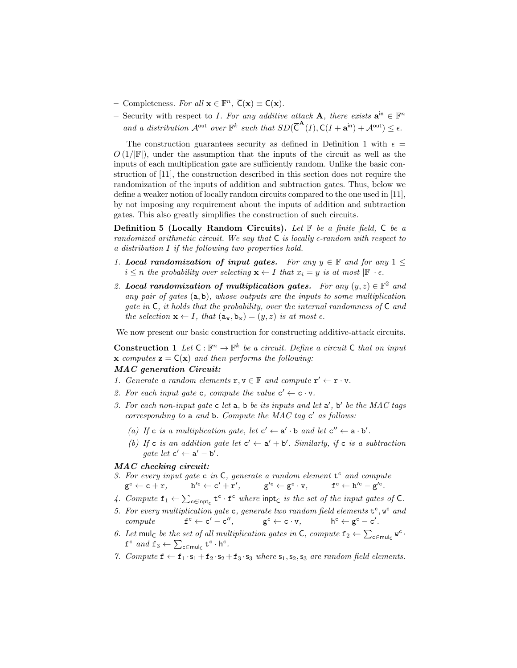- Completeness. For all **x** ∈  $\mathbb{F}^n$ ,  $\overline{C}(\mathbf{x}) \equiv C(\mathbf{x})$ .
- Security with respect to *I*. For any additive attack **A**, there exists  $\mathbf{a}^{\text{in}} \in \mathbb{F}^n$ and a distribution  $\mathcal{A}^{\text{out}}$  over  $\mathbb{F}^k$  such that  $SD(\overline{C}^{\mathbf{A}}(I), \mathsf{C}(I + \mathbf{a}^{\text{in}}) + \mathcal{A}^{\text{out}}) \leq \epsilon$ .

The construction guarantees security as defined in Definition 1 with  $\epsilon =$  $O(1/|\mathbb{F}|)$ , under the assumption that the inputs of the circuit as well as the inputs of each multiplication gate are sufficiently random. Unlike the basic construction of [11], the construction described in this section does not require the randomization of the inputs of addition and subtraction gates. Thus, below we define a weaker notion of locally random circuits compared to the one used in [11], by not imposing any requirement about the inputs of addition and subtraction gates. This also greatly simplifies the construction of such circuits.

**Definition 5 (Locally Random Circuits).** Let  $\mathbb{F}$  be a finite field,  $\mathbb{C}$  be a randomized arithmetic circuit. We say that  $C$  is locally  $\epsilon$ -random with respect to a distribution I if the following two properties hold.

- 1. Local randomization of input gates. For any  $y \in \mathbb{F}$  and for any  $1 \leq$  $i \leq n$  the probability over selecting  $\mathbf{x} \leftarrow I$  that  $x_i = y$  is at most  $\mathbb{F} \cdot \epsilon$ .
- 2. Local randomization of multiplication gates. For any  $(y, z) \in \mathbb{F}^2$  and any pair of gates (a, b), whose outputs are the inputs to some multiplication gate in C, it holds that the probability, over the internal randomness of C and the selection  $\mathbf{x} \leftarrow I$ , that  $(a_{\mathbf{x}}, b_{\mathbf{x}}) = (y, z)$  is at most  $\epsilon$ .

We now present our basic construction for constructing additive-attack circuits.

**Construction 1** Let  $C : \mathbb{F}^n \to \mathbb{F}^k$  be a circuit. Define a circuit  $\overline{C}$  that on input **x** computes  $\mathbf{z} = \mathsf{C}(\mathbf{x})$  and then performs the following:

# MAC generation Circuit:

- 1. Generate a random elements  $\mathbf{r}, \mathbf{v} \in \mathbb{F}$  and compute  $\mathbf{r}' \leftarrow \mathbf{r} \cdot \mathbf{v}$ .
- 2. For each input gate c, compute the value  $c' \leftarrow c \cdot v$ .
- 3. For each non-input gate  $c$  let  $a$ ,  $b$  be its inputs and let  $a'$ ,  $b'$  be the MAC tags corresponding to  $a$  and  $b$ . Compute the MAC tag  $c'$  as follows:
	- (a) If c is a multiplication gate, let  $c' \leftarrow a' \cdot b$  and let  $c'' \leftarrow a \cdot b'$ .
	- (b) If c is an addition gate let  $c' \leftarrow a' + b'$ . Similarly, if c is a subtraction gate let  $c' \leftarrow a' - b'$ .

#### MAC checking circuit:

- 3. For every input gate  $c$  in  $C$ , generate a random element  $t^c$  and compute  $\mathtt{g}^{\mathtt{c}} \leftarrow \mathtt{c} + \mathtt{r}, \qquad \mathtt{h}$  $C' \leftarrow c' + r', \qquad g'^c \leftarrow g^c \cdot v, \qquad f^c \leftarrow h'^c - g'^c.$
- 4. Compute  $f_1 \leftarrow \sum_{c \in \text{input}_{\mathcal{C}}} t^c \cdot f^c$  where  $\text{input}_{\mathcal{C}}$  is the set of the input gates of C.
- 5. For every multiplication gate c, generate two random field elements  $t^c$ ,  $w^c$  and  $compute$  $c \leftarrow c' - c'',$  g  $g^c \leftarrow c \cdot v$ ,  $c \leftarrow g^c - c'.$
- 6. Let mulc be the set of all multiplication gates in C, compute  $f_2 \leftarrow \sum_{c \in \text{mul}_C} w^c$ .  $f^c$  and  $f_3 \leftarrow \sum_{c \in \text{mul}_C} t^c \cdot h^c$ .
- 7. Compute  $f \leftarrow f_1 \cdot s_1 + f_2 \cdot s_2 + f_3 \cdot s_3$  where  $s_1, s_2, s_3$  are random field elements.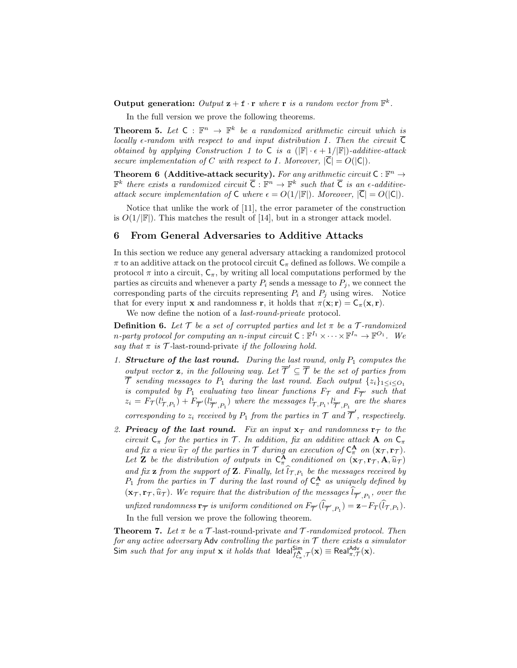Output generation: Output  $\mathbf{z} + \mathbf{f} \cdot \mathbf{r}$  where  $\mathbf{r}$  is a random vector from  $\mathbb{F}^k$ .

In the full version we prove the following theorems.

**Theorem 5.** Let  $C : \mathbb{F}^n \to \mathbb{F}^k$  be a randomized arithmetic circuit which is locally  $\epsilon$ -random with respect to and input distribution I. Then the circuit  $\overline{C}$ obtained by applying Construction 1 to C is a  $(|\mathbb{F}|\cdot \epsilon+1/|\mathbb{F}|)$ -additive-attack secure implementation of C with respect to I. Moreover,  $|\overline{C}| = O(|C|)$ .

**Theorem 6 (Additive-attack security).** For any arithmetic circuit  $C : \mathbb{F}^n \to$  $\mathbb{F}^k$  there exists a randomized circuit  $\overline{\mathsf{C}} : \mathbb{F}^n \to \mathbb{F}^k$  such that  $\overline{\mathsf{C}}$  is an  $\epsilon$ -additiveattack secure implementation of  $C$  where  $\epsilon = O(1/|\mathbb{F}|)$ . Moreover,  $|\overline{C}| = O(|C|)$ .

Notice that unlike the work of [11], the error parameter of the construction is  $O(1/|\mathbb{F}|)$ . This matches the result of [14], but in a stronger attack model.

#### 6 From General Adversaries to Additive Attacks

In this section we reduce any general adversary attacking a randomized protocol  $\pi$  to an additive attack on the protocol circuit  $C_{\pi}$  defined as follows. We compile a protocol  $\pi$  into a circuit,  $C_{\pi}$ , by writing all local computations performed by the parties as circuits and whenever a party  $P_i$  sends a message to  $P_j$ , we connect the corresponding parts of the circuits representing  $P_i$  and  $P_j$  using wires. Notice that for every input **x** and randomness **r**, it holds that  $\pi(\mathbf{x}; \mathbf{r}) = \mathsf{C}_{\pi}(\mathbf{x}, \mathbf{r}).$ 

We now define the notion of a *last-round-private* protocol.

**Definition 6.** Let  $\mathcal{T}$  be a set of corrupted parties and let  $\pi$  be a  $\mathcal{T}$ -randomized n-party protocol for computing an n-input circuit  $C: \mathbb{F}^{I_1} \times \cdots \times \mathbb{F}^{I_n} \to \mathbb{F}^{O_1}$ . We say that  $\pi$  is  $\mathcal T$ -last-round-private if the following hold.

1. Structure of the last round. During the last round, only  $P_1$  computes the output vector **z**, in the following way. Let  $\overline{\mathcal{T}}' \subseteq \overline{\mathcal{T}}$  be the set of parties from  $\overline{\mathcal{T}}$  sending messages to  $P_1$  during the last round. Each output  $\{z_i\}_{1 \leq i \leq O_1}$ is computed by  $P_1$  evaluating two linear functions  $F_{\mathcal{T}}$  and  $F_{\overline{\mathcal{T}}'}$  such that  $z_i = F_{\mathcal{T}}(l_{\mathcal{T}, P_1}^i) + F_{\overline{\mathcal{T}}'}(l_{\overline{Z}}^i)$  $(\bar{\tau}^i_{P_1},P_1)$  where the messages  $l_{\mathcal{T},P_1}^i, l_{\mathcal{T}^i,P_1}^i$  are the shares

corresponding to  $z_i$  received by  $P_1$  from the parties in  $\mathcal T$  and  $\overline{\mathcal T}'$ , respectively.

2. Privacy of the last round. Fix an input  $x_{\tau}$  and randomness  $r_{\tau}$  to the circuit  $C_{\pi}$  for the parties in T. In addition, fix an additive attack A on  $C_{\pi}$ and fix a view  $\hat{u}_\mathcal{T}$  of the parties in  $\mathcal{T}$  during an execution of  $C_n^{\mathbf{A}}$  on  $(\mathbf{x}_\mathcal{T}, \mathbf{r}_\mathcal{T})$ .<br>Let  $\mathbf{Z}$  be the distribution of extracts in  $C_n^{\mathbf{A}}$  conditioned on  $(\mathbf{x}_\mathcal{T}, \mathbf{r}_\mathcal{T}, \mathbf{A}, \$ Let **Z** be the distribution of outputs in  $C_{\pi}^{A}$  conditioned on  $(\mathbf{x}_{\mathcal{T}}, \mathbf{r}_{\mathcal{T}}, \mathbf{A}, \widehat{u}_{\mathcal{T}})$ and fix **z** from the support of **Z**. Finally, let  $l_{\mathcal{T},P_1}$  be the messages received by  $P_1$  from the parties in  $\mathcal T$  during the last round of  $C_{\pi}^{\mathbf A}$  as uniquely defined by  $(\mathbf{x}_{\mathcal{T}}, \mathbf{r}_{\mathcal{T}}, \widehat{u}_{\mathcal{T}})$ . We require that the distribution of the messages  $l_{\overline{\mathcal{T}}', P_1}$ , over the unfixed randomness  $\mathbf{r}_{\overline{\mathcal{T}}}$  is uniform conditioned on  $F_{\overline{\mathcal{T}}'}(l_{\overline{\mathcal{T}}',P_1}) = \mathbf{z} - F_T(l_{\mathcal{T},P_1})$ . In the full version we prove the following theorem.

**Theorem 7.** Let  $\pi$  be a  $\mathcal{T}$ -last-round-private and  $\mathcal{T}$ -randomized protocol. Then for any active adversary Adv controlling the parties in  $\mathcal T$  there exists a simulator Sim such that for any input **x** it holds that  $\text{Ideal}_{f_{\alpha}^{\mathbf{A}}}, \tau(\mathbf{x}) \equiv \text{Real}_{\pi, \tau}^{\text{Adv}}(\mathbf{x})$ .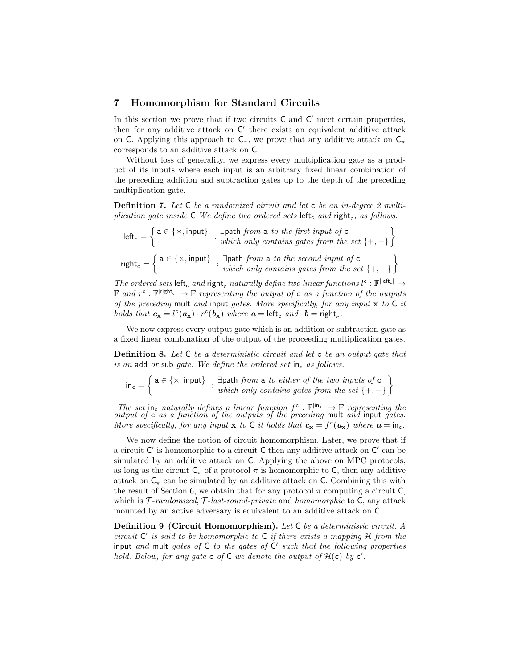#### 7 Homomorphism for Standard Circuits

In this section we prove that if two circuits  $C$  and  $C'$  meet certain properties, then for any additive attack on  $C'$  there exists an equivalent additive attack on C. Applying this approach to  $C_\pi$ , we prove that any additive attack on  $C_\pi$ corresponds to an additive attack on C.

Without loss of generality, we express every multiplication gate as a product of its inputs where each input is an arbitrary fixed linear combination of the preceding addition and subtraction gates up to the depth of the preceding multiplication gate.

**Definition 7.** Let C be a randomized circuit and let c be an in-degree 2 multiplication gate inside  $\mathsf{C}.$  We define two ordered sets  $\mathsf{left}_{\mathsf{c}}$  and  $\mathsf{right}_{\mathsf{c}}$ , as follows.

 $\text{left}_{\text{c}} = \left\{ \begin{matrix} \texttt{a} \in \{\times, \text{input}\} \end{matrix} \right. : \begin{matrix} \exists \texttt{path from a } \textit{to the first input of } \texttt{c} \\ \textit{which only contains gates from the set } \{+, -\} \end{matrix} \right\}$ right<sub>c</sub> =  $\left\{ \begin{array}{l} a \in \{\times, \text{input}\} \\ \vdots \\ \text{which only contains gates from the set } \{+, -\} \end{array} \right\}$ 

 $\emph{The ordered sets $\mathsf{left}_\mathsf{c}$ and $\mathsf{right}_\mathsf{c}$ naturally define two linear functions $l^\mathsf{c} : \mathbb{F}^{|\mathsf{left}_\mathsf{c}|} \rightarrow$  $\mathbb F$  and  $r^{\mathsf{c}} : \mathbb F^{|{\mathsf{right}}_{\mathsf{c}}|} \to \mathbb F$  representing the output of  ${\mathsf{c}}$  as a function of the outputs of the preceding mult and input gates. More specifically, for any input  $x$  to  $C$  it holds that  $c_x = l^c(a_x) \cdot r^c(b_x)$  where  $a = \text{left}_c$  and  $b = \text{right}_c$ .

We now express every output gate which is an addition or subtraction gate as a fixed linear combination of the output of the proceeding multiplication gates.

Definition 8. Let C be a deterministic circuit and let c be an output gate that is an add or sub gate. We define the ordered set in<sub>c</sub> as follows.

$$
\mathsf{in}_{\mathsf{c}} = \left\{ \begin{matrix} \mathtt{a} \in \{\times, \mathtt{input}\} \\ \vdots \\ \mathtt{which} \text{ only contains gates from the set } \{+, -\} \end{matrix} \right\}
$$

The set in<sub>c</sub> naturally defines a linear function  $f^c : \mathbb{F}^{|in_c|} \to \mathbb{F}$  representing the output of c as a function of the outputs of the preceding mult and input gates. More specifically, for any input **x** to C it holds that  $c_x = f^c(a_x)$  where  $a = in_c$ .

We now define the notion of circuit homomorphism. Later, we prove that if a circuit  $C'$  is homomorphic to a circuit C then any additive attack on  $C'$  can be simulated by an additive attack on C. Applying the above on MPC protocols, as long as the circuit  $C_{\pi}$  of a protocol  $\pi$  is homomorphic to C, then any additive attack on  $C_{\pi}$  can be simulated by an additive attack on C. Combining this with the result of Section 6, we obtain that for any protocol  $\pi$  computing a circuit C, which is  $\mathcal{T}$ -randomized,  $\mathcal{T}$ -last-round-private and homomorphic to  $\mathsf{C}$ , any attack mounted by an active adversary is equivalent to an additive attack on C.

Definition 9 (Circuit Homomorphism). Let C be a deterministic circuit. A circuit  $C'$  is said to be homomorphic to  $C$  if there exists a mapping  $H$  from the input and mult gates of  $C$  to the gates of  $C'$  such that the following properties hold. Below, for any gate  $\mathsf{c}$  of  $\mathsf{C}$  we denote the output of  $\mathcal{H}(\mathsf{c})$  by  $\mathsf{c}'$ .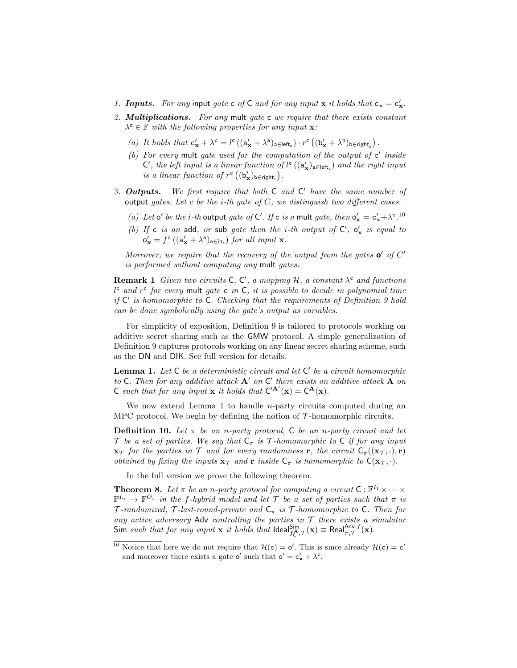- 1. **Inputs.** For any input gate c of C and for any input **x** it holds that  $c_x = c'_x$ .
- 2. **Multiplications.** For any mult gate c we require that there exists constant  $\lambda^{\mathsf{c}} \in \mathbb{F}$  with the following properties for any input **x**:
	- (a) It holds that  $\mathsf{c}'_{\mathbf{x}} + \lambda^{\mathsf{c}} = l^{\mathsf{c}} \left( (\mathsf{a}'_{\mathbf{x}} + \lambda^{\mathsf{a}})_{\mathsf{a} \in \mathsf{left}_\mathsf{c}} \right) \cdot r^{\mathsf{c}} \left( (\mathsf{b}'_{\mathbf{x}} + \lambda^{\mathsf{b}})_{\mathsf{b} \in \mathsf{right}_\mathsf{c}} \right).$
	- (b) For every mult gate used for the computation of the output of  $c'$  inside  $\mathsf{C}'$ , the left input is a linear function of  $l^{\mathsf{c}}$  ( $(\mathsf{a}'_{\mathbf{x}})_{\mathsf{a} \in \mathsf{left}}$ ) and the right input is a linear function of  $r^c \left( (\mathbf{b}_{\mathbf{x}}')_{\mathbf{b} \in \mathsf{right}_c} \right)$ .
- 3. Outputs. We first require that both  $C$  and  $C'$  have the same number of output gates. Let c be the *i*-th gate of  $C$ , we distinguish two different cases.
	- (a) Let  $\mathbf{o}'$  be the *i*-th output gate of  $\mathbf{C}'$ . If  $\mathbf{c}$  is a mult gate, then  $\mathbf{o}'_{\mathbf{x}} = \mathbf{c}'_{\mathbf{x}} + \lambda^{\mathbf{c}}$ .<sup>10</sup>
	- (b) If c is an add, or sub gate then the *i*-th output of  $C'$ ,  $o'_{x}$  is equal to  $\mathsf{o}'_{\mathbf{x}} = f^{\mathsf{c}} \left( (\mathsf{a}'_{\mathbf{x}} + \lambda^{\mathsf{a}})_{\mathsf{a} \in \mathsf{in}_{\mathsf{c}}} \right)$  for all input  $\mathbf{x}$ .

Moreover, we require that the recovery of the output from the gates  $\mathbf{o}'$  of  $C'$ is performed without computing any mult gates.

**Remark 1** Given two circuits  $C, C', a$  mapping  $H, a$  constant  $\lambda^c$  and functions  $l^c$  and  $r^c$  for every mult gate c in C, it is possible to decide in polynomial time if  $C'$  is homomorphic to  $C$ . Checking that the requirements of Definition 9 hold can be done symbolically using the gate's output as variables.

For simplicity of exposition, Definition 9 is tailored to protocols working on additive secret sharing such as the GMW protocol. A simple generalization of Definition 9 captures protocols working on any linear secret sharing scheme, such as the DN and DIK. See full version for details.

**Lemma 1.** Let  $C$  be a deterministic circuit and let  $C'$  be a circuit homomorphic to C. Then for any additive attack  $A'$  on  $C'$  there exists an additive attack  $A$  on C such that for any input **x** it holds that  $C^{A'}(x) = C^{A}(x)$ .

We now extend Lemma 1 to handle *n*-party circuits computed during an MPC protocol. We begin by defining the notion of  $\mathcal{T}$ -homomorphic circuits.

**Definition 10.** Let  $\pi$  be an n-party protocol, C be an n-party circuit and let T be a set of parties. We say that  $C_{\pi}$  is T-homomorphic to C if for any input  $\mathbf{x}_{\mathcal{T}}$  for the parties in  $\mathcal{T}$  and for every randomness **r**, the circuit  $C_{\pi}((\mathbf{x}_{\mathcal{T}}, \cdot), \mathbf{r})$ obtained by fixing the inputs  $\mathbf{x}_{\mathcal{T}}$  and  $\mathbf{r}$  inside  $C_{\pi}$  is homomorphic to  $C(\mathbf{x}_{\mathcal{T}}, \cdot)$ .

In the full version we prove the following theorem.

**Theorem 8.** Let  $\pi$  be an n-party protocol for computing a circuit  $C : \mathbb{F}^{I_1} \times \cdots \times$  $\mathbb{F}^{I_n} \to \mathbb{F}^{O_1}$  in the f-hybrid model and let T be a set of parties such that  $\pi$  is T-randomized, T-last-round-private and  $C_{\pi}$  is T-homomorphic to C. Then for any active adversary Adv controlling the parties in  $\mathcal T$  there exists a simulator Sim such that for any input **x** it holds that  $\text{Ideal}_{f_C^{\mathbf{A}}, \mathcal{T}}^{\text{Sim}}(\mathbf{x}) \equiv \text{Real}_{\pi, \mathcal{T}}^{\text{Adv}, f}(\mathbf{x})$ .

<sup>&</sup>lt;sup>10</sup> Notice that here we do not require that  $\mathcal{H}(c) = o'$ . This is since already  $\mathcal{H}(c) = c'$ and moreover there exists a gate  $\mathbf{o}'$  such that  $\mathbf{o}' = \mathbf{c}_{\mathbf{x}}' + \lambda^{\mathbf{c}}$ .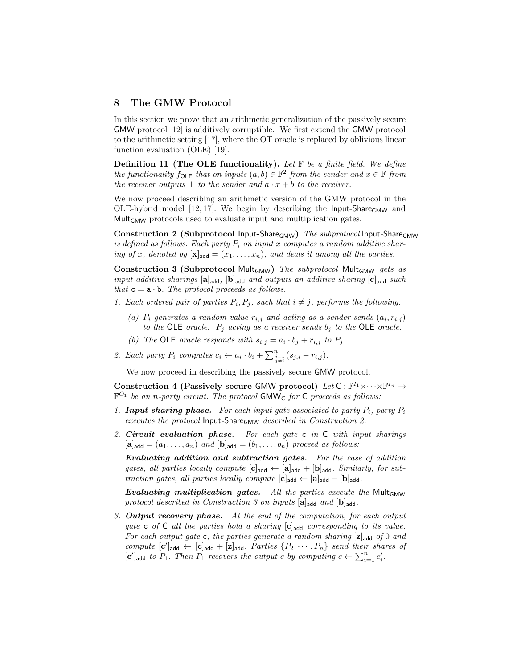#### 8 The GMW Protocol

In this section we prove that an arithmetic generalization of the passively secure GMW protocol [12] is additively corruptible. We first extend the GMW protocol to the arithmetic setting [17], where the OT oracle is replaced by oblivious linear function evaluation (OLE) [19].

**Definition 11 (The OLE functionality).** Let  $\mathbb{F}$  be a finite field. We define the functionality  $f_{\text{OLE}}$  that on inputs  $(a, b) \in \mathbb{F}^2$  from the sender and  $x \in \mathbb{F}$  from the receiver outputs  $\perp$  to the sender and  $a \cdot x + b$  to the receiver.

We now proceed describing an arithmetic version of the GMW protocol in the OLE-hybrid model  $[12, 17]$ . We begin by describing the Input-Share<sub>GMW</sub> and MultGMW protocols used to evaluate input and multiplication gates.

Construction 2 (Subprotocol Input-Share<sub>GMW</sub>) The subprotocol Input-Share<sub>GMW</sub> is defined as follows. Each party  $P_i$  on input x computes a random additive sharing of x, denoted by  $[\mathbf{x}]_{\text{add}} = (x_1, \ldots, x_n)$ , and deals it among all the parties.

Construction 3 (Subprotocol Mult<sub>GMW</sub>) The subprotocol Mult<sub>GMW</sub> gets as input additive sharings  $[a]_{add}$ ,  $[b]_{add}$  and outputs an additive sharing  $[c]_{add}$  such that  $c = a \cdot b$ . The protocol proceeds as follows.

- 1. Each ordered pair of parties  $P_i, P_j$ , such that  $i \neq j$ , performs the following.
	- (a)  $P_i$  generates a random value  $r_{i,j}$  and acting as a sender sends  $(a_i, r_{i,j})$ to the OLE oracle.  $P_j$  acting as a receiver sends  $b_j$  to the OLE oracle.
	- (b) The OLE oracle responds with  $s_{i,j} = a_i \cdot b_j + r_{i,j}$  to  $P_j$ .
- 2. Each party  $P_i$  computes  $c_i \leftarrow a_i \cdot b_i + \sum_{\substack{j=1 \ j \neq i}}^{n} (s_{j,i} r_{i,j}).$

We now proceed in describing the passively secure GMW protocol.

Construction 4 (Passively secure GMW protocol) Let  $C: \mathbb{F}^{I_1} \times \cdots \times \mathbb{F}^{I_n} \to$  $\mathbb{F}^{O_1}$  be an n-party circuit. The protocol GMW<sub>C</sub> for C proceeds as follows:

- 1. **Input sharing phase.** For each input gate associated to party  $P_i$ , party  $P_i$ executes the protocol Input-Share<sub>GMW</sub> described in Construction 2.
- 2. Circuit evaluation phase. For each gate c in C with input sharings  $[\mathbf{a}]_{\mathsf{add}} = (a_1, \ldots, a_n)$  and  $[\mathbf{b}]_{\mathsf{add}} = (b_1, \ldots, b_n)$  proceed as follows:

Evaluating addition and subtraction gates. For the case of addition gates, all parties locally compute  $[c]_{add} \leftarrow [a]_{add} + [b]_{add}$ . Similarly, for subtraction gates, all parties locally compute  $[c]_{add} \leftarrow [a]_{add} - [b]_{add}$ .

Evaluating multiplication gates. All the parties execute the Mult<sub>GMW</sub> protocol described in Construction 3 on inputs  $[a]_{add}$  and  $[b]_{add}$ .

3. Output recovery phase. At the end of the computation, for each output gate c of  $C$  all the parties hold a sharing  $[c]_{add}$  corresponding to its value. For each output gate c, the parties generate a random sharing  $[\mathbf{z}]_{\mathsf{add}}$  of 0 and compute  $[c']_{add} \leftarrow [c]_{add} + [z]_{add}$ . Parties  $\{P_2, \dots, P_n\}$  send their shares of  $[c']_{add}$  to  $P_1$ . Then  $P_1$  recovers the output c by computing  $c \leftarrow \sum_{i=1}^n c'_i$ .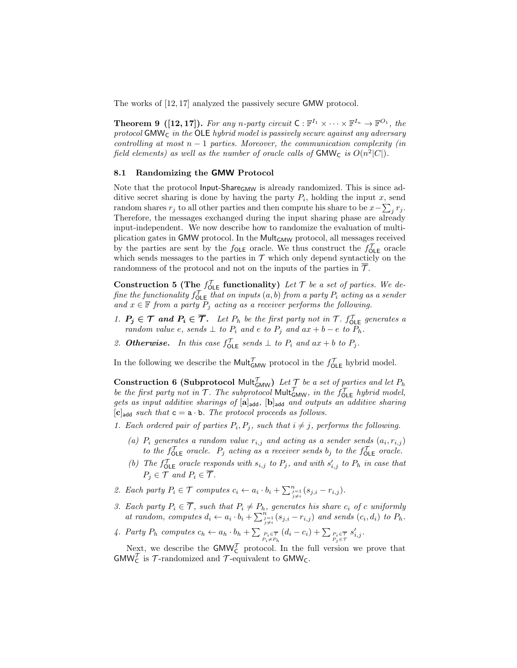The works of [12, 17] analyzed the passively secure GMW protocol.

**Theorem 9 ([12,17]).** For any n-party circuit  $C: \mathbb{F}^{I_1} \times \cdots \times \mathbb{F}^{I_n} \to \mathbb{F}^{O_1}$ , the protocol GMW<sub>C</sub> in the OLE hybrid model is passively secure against any adversary controlling at most  $n - 1$  parties. Moreover, the communication complexity (in field elements) as well as the number of oracle calls of  $\mathsf{GMW}_{\mathsf{C}}$  is  $O(n^2|C|)$ .

#### 8.1 Randomizing the GMW Protocol

Note that the protocol Input-Share<sub>GMW</sub> is already randomized. This is since additive secret sharing is done by having the party  $P_i$ , holding the input x, send random shares  $r_j$  to all other parties and then compute his share to be  $x - \sum_j r_j$ . Therefore, the messages exchanged during the input sharing phase are already input-independent. We now describe how to randomize the evaluation of multiplication gates in GMW protocol. In the Mult $_{GMW}$  protocol, all messages received by the parties are sent by the  $f_{OLE}$  oracle. We thus construct the  $f_{OLE}^{\mathcal{T}}$  oracle which sends messages to the parties in  $\mathcal T$  which only depend syntacticly on the randomness of the protocol and not on the inputs of the parties in  $\overline{\mathcal{T}}$ .

Construction 5 (The  $f_{\text{OLE}}^{\mathcal{T}}$  functionality) Let  $\mathcal{T}$  be a set of parties. We define the functionality  $f_{\mathsf{OLE}}^{\mathcal{T}}$  that on inputs  $(a, b)$  from a party  $P_i$  acting as a sender and  $x \in \mathbb{F}$  from a party  $P_i$  acting as a receiver performs the following.

- 1.  $P_j \in \mathcal{T}$  and  $P_i \in \overline{\mathcal{T}}$ . Let  $P_h$  be the first party not in  $\mathcal{T}$ .  $f_{\text{OLE}}^{\mathcal{T}}$  generates a random value e, sends  $\perp$  to  $P_i$  and e to  $P_j$  and  $ax + b - e$  to  $P_h$ .
- 2. Otherwise. In this case  $f_{\text{OLE}}^{\mathcal{T}}$  sends  $\perp$  to  $P_i$  and  $ax + b$  to  $P_j$ .

In the following we describe the Mult $\mathcal{T}_{\text{GMW}}$  protocol in the  $f_{\text{OLE}}^{\mathcal{T}}$  hybrid model.

**Construction 6 (Subprotocol Mult** $\mathcal{T}_{\mathsf{GMW}}$ ) Let  $\mathcal{T}$  be a set of parties and let  $P_h$ be the first party not in  $T$ . The subprotocol Mult $^{\mathcal{T}}_{\mathsf{GMW}}$ , in the  $f_{\mathsf{OLE}}^{\mathcal{T}}$  hybrid model, gets as input additive sharings of  $[a]_{add}$ ,  $[b]_{add}$  and outputs an additive sharing  $[c]_{add}$  such that  $c = a \cdot b$ . The protocol proceeds as follows.

- 1. Each ordered pair of parties  $P_i, P_j$ , such that  $i \neq j$ , performs the following.
	- (a)  $P_i$  generates a random value  $r_{i,j}$  and acting as a sender sends  $(a_i, r_{i,j})$ to the  $f_{\text{OLE}}^{\mathcal{T}}$  oracle.  $P_j$  acting as a receiver sends  $b_j$  to the  $f_{\text{OLE}}^{\mathcal{T}}$  oracle.
	- (b) The  $f_{\text{OLE}}^{\mathcal{T}}$  oracle responds with  $s_{i,j}$  to  $P_j$ , and with  $s'_{i,j}$  to  $P_h$  in case that  $P_i \in \mathcal{T}$  and  $P_i \in \overline{\mathcal{T}}$ .
- 2. Each party  $P_i \in \mathcal{T}$  computes  $c_i \leftarrow a_i \cdot b_i + \sum_{\substack{j=1 \ j \neq i}}^{n} (s_{j,i} r_{i,j}).$
- 3. Each party  $P_i \in \mathcal{T}$ , such that  $P_i \neq P_h$ , generates his share  $c_i$  of c uniformly at random, computes  $d_i \leftarrow a_i \cdot b_i + \sum_{\substack{j=1 \ j \neq i}}^{n} (s_{j,i} - r_{i,j})$  and sends  $(c_i, d_i)$  to  $P_h$ .
- 4. Party  $P_h$  computes  $c_h \leftarrow a_h \cdot b_h + \sum_{\substack{P_i \in \mathcal{T} \\ P_i \neq P_h}} (d_i c_i) + \sum_{\substack{P_i \in \mathcal{T} \\ P_j \in \mathcal{T}}} s'_{i,j}$ .

Next, we describe the  $GMW_C^{\mathcal{T}}$  protocol. In the full version we prove that  $\mathsf{GMW}_{\mathsf{C}}^{\mathcal{T}}$  is  $\mathcal{T}\text{-randomized}$  and  $\mathcal{T}\text{-equivalent}$  to  $\mathsf{GMW}_{\mathsf{C}}.$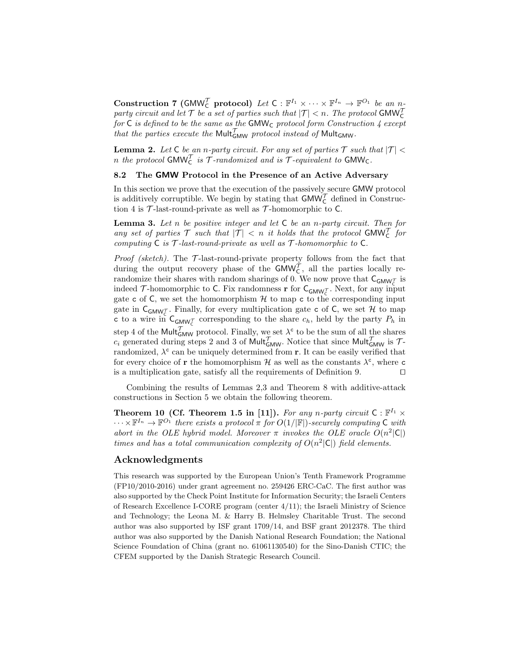Construction 7 (GMW<sub>C</sub> protocol) Let  $C : \mathbb{F}^{I_1} \times \cdots \times \mathbb{F}^{I_n} \to \mathbb{F}^{O_1}$  be an  $n$ party circuit and let  $\mathcal T$  be a set of parties such that  $|\mathcal T| < n$ . The protocol GMW $_{\mathsf C}^{\mathcal T}$ for  $C$  is defined to be the same as the GMW<sub>C</sub> protocol form Construction  $\frac{1}{4}$  except that the parties execute the Mult $_{\text{GMW}}^{\mathcal{T}}$  protocol instead of Mult<sub>GMW</sub>.

**Lemma 2.** Let C be an n-party circuit. For any set of parties  $\mathcal{T}$  such that  $|\mathcal{T}|$  < n the protocol GMW $_{\mathsf{C}}^{\mathcal{T}}$  is  $\mathcal{T}$ -randomized and is  $\mathcal{T}$ -equivalent to GMW $_{\mathsf{C}}$ .

## 8.2 The GMW Protocol in the Presence of an Active Adversary

In this section we prove that the execution of the passively secure GMW protocol is additively corruptible. We begin by stating that  $\mathsf{GMW}_{\mathsf{C}}^{\mathcal{T}}$  defined in Construction 4 is  $\mathcal T$ -last-round-private as well as  $\mathcal T$ -homomorphic to C.

**Lemma 3.** Let n be positive integer and let  $C$  be an n-party circuit. Then for any set of parties  $T$  such that  $|T|$  < n it holds that the protocol GMW<sub>C</sub> for computing  $C$  is  $T$ -last-round-private as well as  $T$ -homomorphic to  $C$ .

*Proof (sketch)*. The  $\mathcal{T}$ -last-round-private property follows from the fact that during the output recovery phase of the  $\text{GMW}_{\text{C}}^{\text{T}}$ , all the parties locally rerandomize their shares with random sharings of 0. We now prove that  $\mathsf{C}_{\mathsf{GMW}_{\mathcal{C}}^{\mathcal{T}}}$  is indeed  $\mathcal{T}$ -homomorphic to C. Fix randomness r for  $C_{\text{GMW}}$ . Next, for any input gate c of  $\mathsf C$ , we set the homomorphism  $\mathcal H$  to map c to the corresponding input gate in  $\mathsf{C}_{\mathsf{GMW}_{\mathsf{C}}^{\mathsf{T}}}$ . Finally, for every multiplication gate c of C, we set H to map c to a wire in  $C_{\text{GMW}_{\zeta}}$  corresponding to the share  $c_h$ , held by the party  $P_h$  in step 4 of the Mult $_{\text{GMW}}^{\mathcal{T}}$  protocol. Finally, we set  $\lambda^{\mathsf{c}}$  to be the sum of all the shares  $c_i$  generated during steps 2 and 3 of Mult<sub>GMW</sub>. Notice that since Mult<sub>GMW</sub> is  $\mathcal{T}$ randomized,  $\lambda^c$  can be uniquely determined from **r**. It can be easily verified that for every choice of **r** the homomorphism  $\mathcal{H}$  as well as the constants  $\lambda^c$ , where **c** is a multiplication gate, satisfy all the requirements of Definition 9.  $\Box$ 

Combining the results of Lemmas 2,3 and Theorem 8 with additive-attack constructions in Section 5 we obtain the following theorem.

Theorem 10 (Cf. Theorem 1.5 in [11]). For any n-party circuit  $C : \mathbb{F}^{I_1} \times$  $\cdots \times \mathbb{F}^{I_n} \to \mathbb{F}^{O_1}$  there exists a protocol  $\pi$  for  $O(1/|\mathbb{F}|)$ -securely computing C with abort in the OLE hybrid model. Moreover  $\pi$  invokes the OLE oracle  $O(n^2|\mathsf{C}|)$ times and has a total communication complexity of  $O(n^2|\mathsf{C}|)$  field elements.

#### Acknowledgments

This research was supported by the European Union's Tenth Framework Programme (FP10/2010-2016) under grant agreement no. 259426 ERC-CaC. The first author was also supported by the Check Point Institute for Information Security; the Israeli Centers of Research Excellence I-CORE program (center 4/11); the Israeli Ministry of Science and Technology; the Leona M. & Harry B. Helmsley Charitable Trust. The second author was also supported by ISF grant 1709/14, and BSF grant 2012378. The third author was also supported by the Danish National Research Foundation; the National Science Foundation of China (grant no. 61061130540) for the Sino-Danish CTIC; the CFEM supported by the Danish Strategic Research Council.